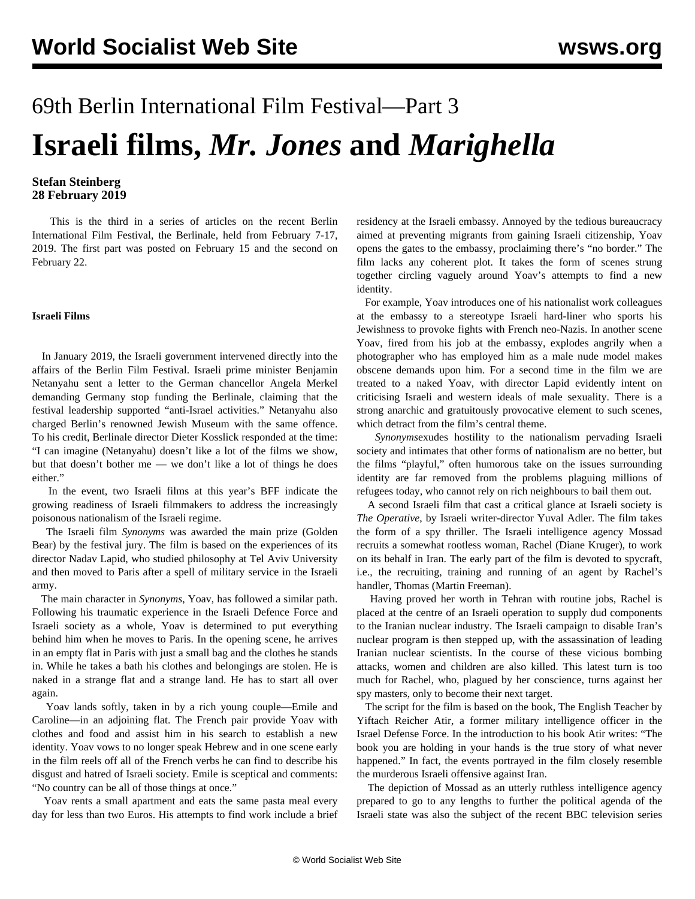# 69th Berlin International Film Festival—Part 3 **Israeli films,** *Mr. Jones* **and** *Marighella*

### **Stefan Steinberg 28 February 2019**

 This is the third in a series of articles on the recent Berlin International Film Festival, the Berlinale, held from February 7-17, 2019. The [first part](/en/articles/2019/02/15/berl-f15.html) was posted on February 15 and the [second](/en/articles/2019/02/22/berl-f22.html) on February 22.

#### **Israeli Films**

 In January 2019, the Israeli government intervened directly into the affairs of the Berlin Film Festival. Israeli prime minister Benjamin Netanyahu sent a letter to the German chancellor Angela Merkel demanding Germany stop funding the Berlinale, claiming that the festival leadership supported "anti-Israel activities." Netanyahu also charged Berlin's renowned Jewish Museum with the same offence. To his credit, Berlinale director Dieter Kosslick responded at the time: "I can imagine (Netanyahu) doesn't like a lot of the films we show, but that doesn't bother me — we don't like a lot of things he does either."

 In the event, two Israeli films at this year's BFF indicate the growing readiness of Israeli filmmakers to address the increasingly poisonous nationalism of the Israeli regime.

 The Israeli film *Synonyms* was awarded the main prize (Golden Bear) by the festival jury. The film is based on the experiences of its director Nadav Lapid, who studied philosophy at Tel Aviv University and then moved to Paris after a spell of military service in the Israeli army.

 The main character in *Synonyms*, Yoav, has followed a similar path. Following his traumatic experience in the Israeli Defence Force and Israeli society as a whole, Yoav is determined to put everything behind him when he moves to Paris. In the opening scene, he arrives in an empty flat in Paris with just a small bag and the clothes he stands in. While he takes a bath his clothes and belongings are stolen. He is naked in a strange flat and a strange land. He has to start all over again.

 Yoav lands softly, taken in by a rich young couple—Emile and Caroline—in an adjoining flat. The French pair provide Yoav with clothes and food and assist him in his search to establish a new identity. Yoav vows to no longer speak Hebrew and in one scene early in the film reels off all of the French verbs he can find to describe his disgust and hatred of Israeli society. Emile is sceptical and comments: "No country can be all of those things at once."

 Yoav rents a small apartment and eats the same pasta meal every day for less than two Euros. His attempts to find work include a brief residency at the Israeli embassy. Annoyed by the tedious bureaucracy aimed at preventing migrants from gaining Israeli citizenship, Yoav opens the gates to the embassy, proclaiming there's "no border." The film lacks any coherent plot. It takes the form of scenes strung together circling vaguely around Yoav's attempts to find a new identity.

 For example, Yoav introduces one of his nationalist work colleagues at the embassy to a stereotype Israeli hard-liner who sports his Jewishness to provoke fights with French neo-Nazis. In another scene Yoav, fired from his job at the embassy, explodes angrily when a photographer who has employed him as a male nude model makes obscene demands upon him. For a second time in the film we are treated to a naked Yoav, with director Lapid evidently intent on criticising Israeli and western ideals of male sexuality. There is a strong anarchic and gratuitously provocative element to such scenes, which detract from the film's central theme.

 *Synonyms*exudes hostility to the nationalism pervading Israeli society and intimates that other forms of nationalism are no better, but the films "playful," often humorous take on the issues surrounding identity are far removed from the problems plaguing millions of refugees today, who cannot rely on rich neighbours to bail them out.

 A second Israeli film that cast a critical glance at Israeli society is *The Operative*, by Israeli writer-director Yuval Adler. The film takes the form of a spy thriller. The Israeli intelligence agency Mossad recruits a somewhat rootless woman, Rachel (Diane Kruger), to work on its behalf in Iran. The early part of the film is devoted to spycraft, i.e., the recruiting, training and running of an agent by Rachel's handler, Thomas (Martin Freeman).

 Having proved her worth in Tehran with routine jobs, Rachel is placed at the centre of an Israeli operation to supply dud components to the Iranian nuclear industry. The Israeli campaign to disable Iran's nuclear program is then stepped up, with the assassination of leading Iranian nuclear scientists. In the course of these vicious bombing attacks, women and children are also killed. This latest turn is too much for Rachel, who, plagued by her conscience, turns against her spy masters, only to become their next target.

 The script for the film is based on the book, The English Teacher by Yiftach Reicher Atir, a former military intelligence officer in the Israel Defense Force. In the introduction to his book Atir writes: "The book you are holding in your hands is the true story of what never happened." In fact, the events portrayed in the film closely resemble the murderous Israeli offensive against Iran.

 The depiction of Mossad as an utterly ruthless intelligence agency prepared to go to any lengths to further the political agenda of the Israeli state was also the subject of the recent BBC television series